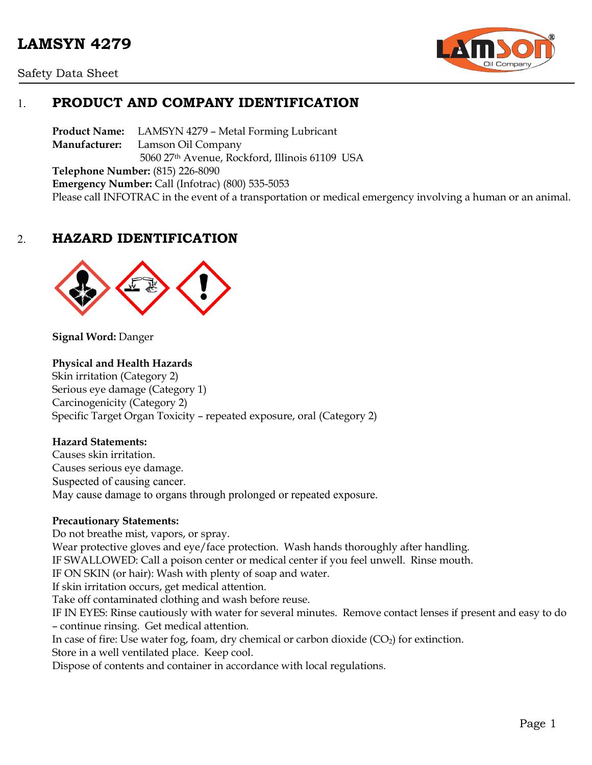

Safety Data Sheet

# 1. **PRODUCT AND COMPANY IDENTIFICATION**

**Product Name:** LAMSYN 4279 – Metal Forming Lubricant **Manufacturer:** Lamson Oil Company 5060 27th Avenue, Rockford, Illinois 61109 USA **Telephone Number:** (815) 226-8090 **Emergency Number:** Call (Infotrac) (800) 535-5053 Please call INFOTRAC in the event of a transportation or medical emergency involving a human or an animal.

# 2. **HAZARD IDENTIFICATION**



**Signal Word:** Danger

#### **Physical and Health Hazards**

Skin irritation (Category 2) Serious eye damage (Category 1) Carcinogenicity (Category 2) Specific Target Organ Toxicity – repeated exposure, oral (Category 2)

#### **Hazard Statements:**

Causes skin irritation. Causes serious eye damage. Suspected of causing cancer. May cause damage to organs through prolonged or repeated exposure.

#### **Precautionary Statements:**

Do not breathe mist, vapors, or spray. Wear protective gloves and eye/face protection. Wash hands thoroughly after handling. IF SWALLOWED: Call a poison center or medical center if you feel unwell. Rinse mouth. IF ON SKIN (or hair): Wash with plenty of soap and water. If skin irritation occurs, get medical attention. Take off contaminated clothing and wash before reuse. IF IN EYES: Rinse cautiously with water for several minutes. Remove contact lenses if present and easy to do – continue rinsing. Get medical attention. In case of fire: Use water fog, foam, dry chemical or carbon dioxide  $(CO_2)$  for extinction. Store in a well ventilated place. Keep cool. Dispose of contents and container in accordance with local regulations.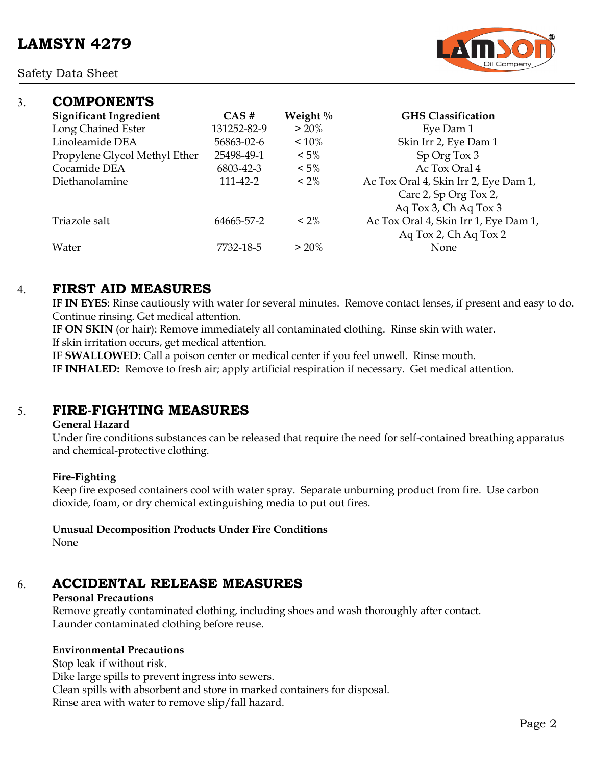Safety Data Sheet



| 3. | <b>COMPONENTS</b>             |             |             |                                                                |
|----|-------------------------------|-------------|-------------|----------------------------------------------------------------|
|    | <b>Significant Ingredient</b> | CAS#        | Weight $\%$ | <b>GHS Classification</b>                                      |
|    | Long Chained Ester            | 131252-82-9 | $> 20\%$    | Eye Dam 1                                                      |
|    | Linoleamide DEA               | 56863-02-6  | $~10\%$     | Skin Irr 2, Eye Dam 1                                          |
|    | Propylene Glycol Methyl Ether | 25498-49-1  | $< 5\%$     | Sp Org Tox 3                                                   |
|    | Cocamide DEA                  | 6803-42-3   | $< 5\%$     | Ac Tox Oral 4                                                  |
|    | Diethanolamine                | 111-42-2    | $< 2\%$     | Ac Tox Oral 4, Skin Irr 2, Eye Dam 1,<br>Carc 2, Sp Org Tox 2, |
|    |                               |             |             | Aq Tox 3, Ch Aq Tox 3                                          |
|    | Triazole salt                 | 64665-57-2  | $<$ 2%      | Ac Tox Oral 4, Skin Irr 1, Eye Dam 1,<br>Aq Tox 2, Ch Aq Tox 2 |
|    | Water                         | 7732-18-5   | $> 20\%$    | None                                                           |

## 4. **FIRST AID MEASURES**

**IF IN EYES**: Rinse cautiously with water for several minutes. Remove contact lenses, if present and easy to do. Continue rinsing. Get medical attention.

**IF ON SKIN** (or hair): Remove immediately all contaminated clothing. Rinse skin with water. If skin irritation occurs, get medical attention.

**IF SWALLOWED**: Call a poison center or medical center if you feel unwell. Rinse mouth. **IF INHALED:** Remove to fresh air; apply artificial respiration if necessary. Get medical attention.

# 5. **FIRE-FIGHTING MEASURES**

#### **General Hazard**

Under fire conditions substances can be released that require the need for self-contained breathing apparatus and chemical-protective clothing.

#### **Fire-Fighting**

Keep fire exposed containers cool with water spray. Separate unburning product from fire. Use carbon dioxide, foam, or dry chemical extinguishing media to put out fires.

**Unusual Decomposition Products Under Fire Conditions**

None

# 6. **ACCIDENTAL RELEASE MEASURES**

## **Personal Precautions**

Remove greatly contaminated clothing, including shoes and wash thoroughly after contact. Launder contaminated clothing before reuse.

## **Environmental Precautions**

Stop leak if without risk. Dike large spills to prevent ingress into sewers. Clean spills with absorbent and store in marked containers for disposal. Rinse area with water to remove slip/fall hazard.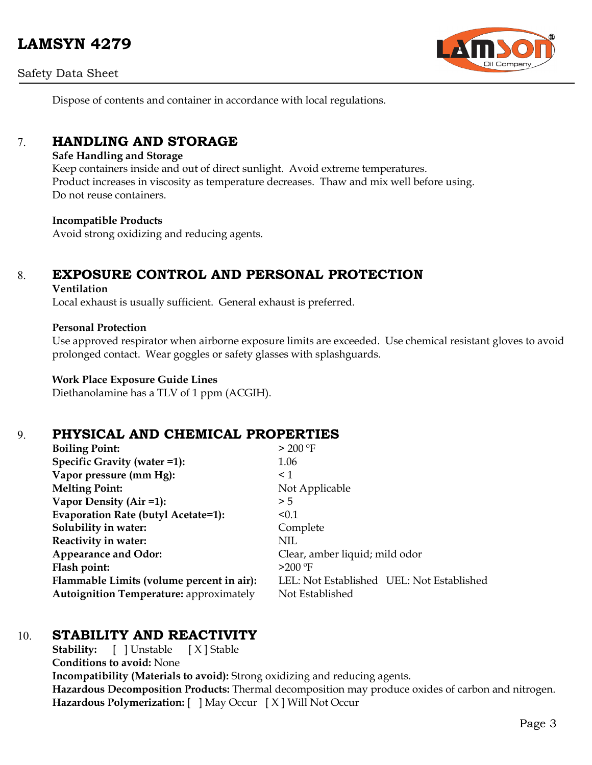# **LAMSYN 4279**

Safety Data Sheet



Dispose of contents and container in accordance with local regulations.

# 7. **HANDLING AND STORAGE**

#### **Safe Handling and Storage**

Keep containers inside and out of direct sunlight. Avoid extreme temperatures. Product increases in viscosity as temperature decreases. Thaw and mix well before using. Do not reuse containers.

#### **Incompatible Products**

Avoid strong oxidizing and reducing agents.

# 8. **EXPOSURE CONTROL AND PERSONAL PROTECTION**

#### **Ventilation**

Local exhaust is usually sufficient. General exhaust is preferred.

#### **Personal Protection**

Use approved respirator when airborne exposure limits are exceeded. Use chemical resistant gloves to avoid prolonged contact. Wear goggles or safety glasses with splashguards.

#### **Work Place Exposure Guide Lines**

Diethanolamine has a TLV of 1 ppm (ACGIH).

## 9. **PHYSICAL AND CHEMICAL PROPERTIES**

| <b>Boiling Point:</b>                          | $>$ 200 °F                                |  |  |
|------------------------------------------------|-------------------------------------------|--|--|
| Specific Gravity (water =1):                   | 1.06                                      |  |  |
| Vapor pressure (mm Hg):                        | $\leq$ 1                                  |  |  |
| <b>Melting Point:</b>                          | Not Applicable                            |  |  |
| Vapor Density (Air =1):                        | > 5                                       |  |  |
| Evaporation Rate (butyl Acetate=1):            | < 0.1                                     |  |  |
| Solubility in water:                           | Complete                                  |  |  |
| Reactivity in water:                           | NIL.                                      |  |  |
| <b>Appearance and Odor:</b>                    | Clear, amber liquid; mild odor            |  |  |
| Flash point:                                   | $>200$ °F                                 |  |  |
| Flammable Limits (volume percent in air):      | LEL: Not Established UEL: Not Established |  |  |
| <b>Autoignition Temperature:</b> approximately | Not Established                           |  |  |

# 10. **STABILITY AND REACTIVITY**

**Stability:** [ ] Unstable [ X ] Stable **Conditions to avoid:** None **Incompatibility (Materials to avoid):** Strong oxidizing and reducing agents. **Hazardous Decomposition Products:** Thermal decomposition may produce oxides of carbon and nitrogen. **Hazardous Polymerization:** [ ] May Occur [ X ] Will Not Occur